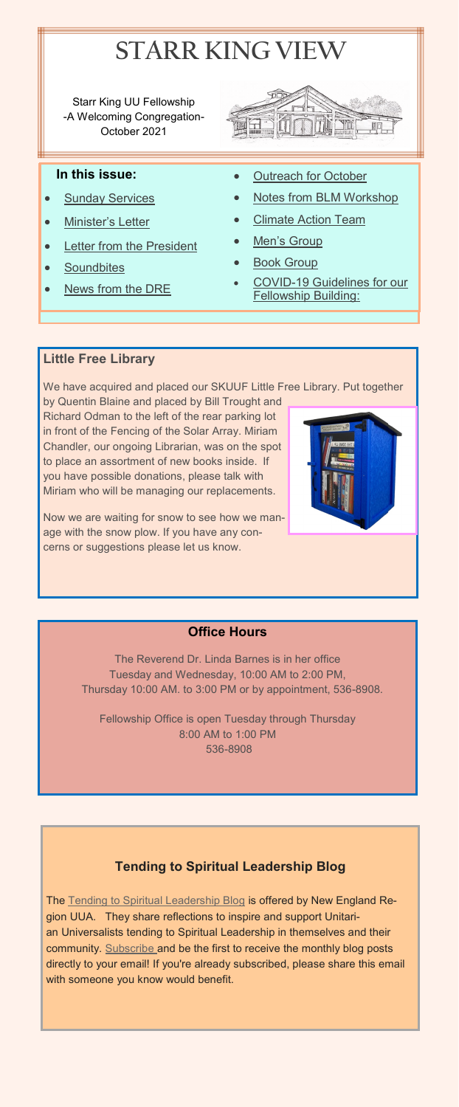

Starr King UU Fellowship -A Welcoming Congregation-October 2021



## **In this issue:**

- **[Sunday Services](#page-2-0)**
- [Minister](#page-1-0)'s Letter
- [Letter from the President](#page-3-0)
- [Soundbites](#page-4-0)
- [News from the DRE](#page-5-0)
- **[Outreach for October](#page-6-0)**
- [Notes from BLM Workshop](#page-7-0)
- **[Climate Action Team](#page-8-0)**
- Men'[s Group](#page-8-0)
- [Book Group](#page-6-0)
- COVID-19 Guidelines for our [Fellowship Building:](#page-9-0)

## **Little Free Library**

We have acquired and placed our SKUUF Little Free Library. Put together

<span id="page-0-0"></span>by Quentin Blaine and placed by Bill Trought and Richard Odman to the left of the rear parking lot in front of the Fencing of the Solar Array. Miriam Chandler, our ongoing Librarian, was on the spot to place an assortment of new books inside. If you have possible donations, please talk with Miriam who will be managing our replacements.

Now we are waiting for snow to see how we manage with the snow plow. If you have any concerns or suggestions please let us know.



# **Office Hours**

The Reverend Dr. Linda Barnes is in her office Tuesday and Wednesday, 10:00 AM to 2:00 PM, Thursday 10:00 AM. to 3:00 PM or by appointment, 536-8908.

Fellowship Office is open Tuesday through Thursday 8:00 AM to 1:00 PM 536-8908

# **Tending to Spiritual Leadership Blog**

The [Tending to Spiritual Leadership Blog](https://starrkingfellowship.us15.list-manage.com/track/click?u=1325aa73258960af569b431c3&id=a7cfa4ba33&e=f85c7b374b) is offered by New England Region UUA. They share reflections to inspire and support Unitarian Universalists tending to Spiritual Leadership in themselves and their community. [Subscribe](https://starrkingfellowship.us15.list-manage.com/track/click?u=1325aa73258960af569b431c3&id=dd17204196&e=f85c7b374b) and be the first to receive the monthly blog posts directly to your email! If you're already subscribed, please share this email with someone you know would benefit.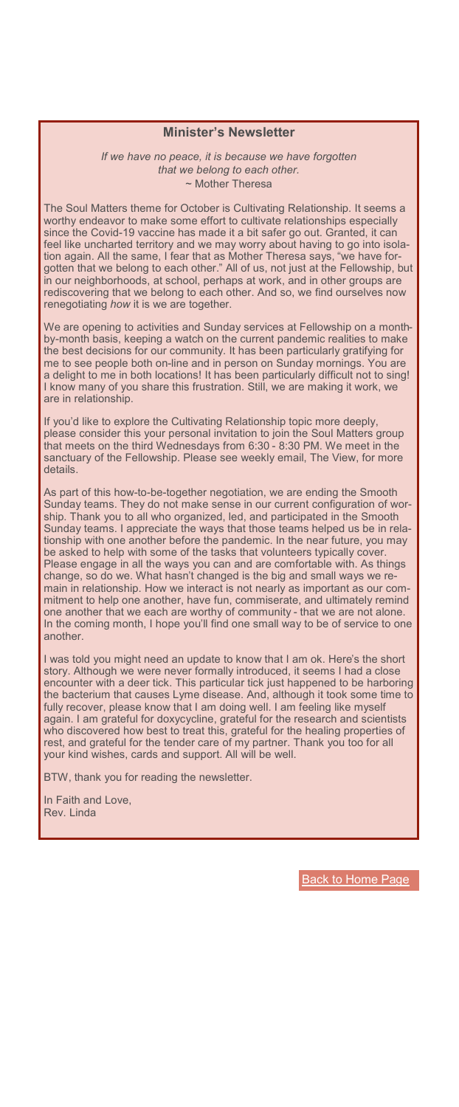### **Minister's Newsletter**

*If we have no peace, it is because we have forgotten that we belong to each other.* ~ Mother Theresa

The Soul Matters theme for October is Cultivating Relationship. It seems a worthy endeavor to make some effort to cultivate relationships especially since the Covid-19 vaccine has made it a bit safer go out. Granted, it can feel like uncharted territory and we may worry about having to go into isolation again. All the same, I fear that as Mother Theresa says, "we have forgotten that we belong to each other." All of us, not just at the Fellowship, but in our neighborhoods, at school, perhaps at work, and in other groups are rediscovering that we belong to each other. And so, we find ourselves now renegotiating *how* it is we are together.

We are opening to activities and Sunday services at Fellowship on a monthby-month basis, keeping a watch on the current pandemic realities to make the best decisions for our community. It has been particularly gratifying for me to see people both on-line and in person on Sunday mornings. You are a delight to me in both locations! It has been particularly difficult not to sing! I know many of you share this frustration. Still, we are making it work, we are in relationship.

<span id="page-1-0"></span>If you'd like to explore the Cultivating Relationship topic more deeply, please consider this your personal invitation to join the Soul Matters group that meets on the third Wednesdays from 6:30 - 8:30 PM. We meet in the sanctuary of the Fellowship. Please see weekly email, The View, for more details.

As part of this how-to-be-together negotiation, we are ending the Smooth Sunday teams. They do not make sense in our current configuration of worship. Thank you to all who organized, led, and participated in the Smooth Sunday teams. I appreciate the ways that those teams helped us be in relationship with one another before the pandemic. In the near future, you may be asked to help with some of the tasks that volunteers typically cover. Please engage in all the ways you can and are comfortable with. As things change, so do we. What hasn't changed is the big and small ways we remain in relationship. How we interact is not nearly as important as our commitment to help one another, have fun, commiserate, and ultimately remind one another that we each are worthy of community - that we are not alone. In the coming month, I hope you'll find one small way to be of service to one another.

enceanter with a deer tick. This particular tick just happened to be harboring<br>the bacterium that causes Lyme disease. And, although it took some time to I was told you might need an update to know that I am ok. Here's the short story. Although we were never formally introduced, it seems I had a close encounter with a deer tick. This particular tick just happened to be harboring fully recover, please know that I am doing well. I am feeling like myself again. I am grateful for doxycycline, grateful for the research and scientists who discovered how best to treat this, grateful for the healing properties of rest, and grateful for the tender care of my partner. Thank you too for all your kind wishes, cards and support. All will be well.

BTW, thank you for reading the newsletter.

In Faith and Love, Rev. Linda

**[Back to Home Page](#page-0-0)**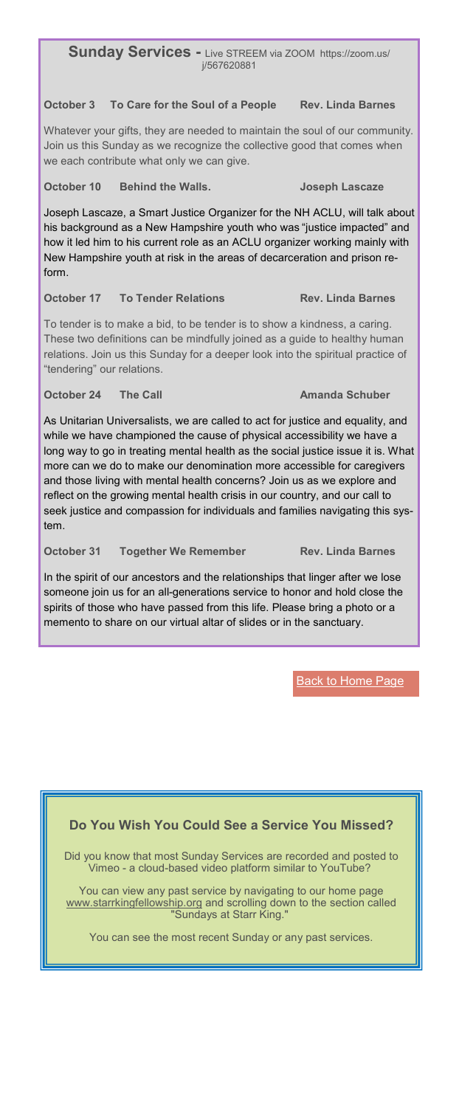**Sunday Services -** Live STREEM via ZOOM https://zoom.us/ j/567620881

### **October 3 To Care for the Soul of a People Rev. Linda Barnes**

Whatever your gifts, they are needed to maintain the soul of our community. Join us this Sunday as we recognize the collective good that comes when we each contribute what only we can give.

**October 10 Behind the Walls. Joseph Lascaze**

Joseph Lascaze, a Smart Justice Organizer for the NH ACLU, will talk about his background as a New Hampshire youth who was "justice impacted" and how it led him to his current role as an ACLU organizer working mainly with New Hampshire youth at risk in the areas of decarceration and prison reform.

### **October 17 To Tender Relations Rev. Linda Barnes**

To tender is to make a bid, to be tender is to show a kindness, a caring. These two definitions can be mindfully joined as a guide to healthy human relations. Join us this Sunday for a deeper look into the spiritual practice of "tendering" our relations.

### **October 24 • The Call Amanda Schuber**

<span id="page-2-0"></span>As Unitarian Universalists, we are called to act for justice and equality, and while we have championed the cause of physical accessibility we have a long way to go in treating mental health as the social justice issue it is. What more can we do to make our denomination more accessible for caregivers and those living with mental health concerns? Join us as we explore and reflect on the growing mental health crisis in our country, and our call to seek justice and compassion for individuals and families navigating this system.

**October 31 Together We Remember Rev. Linda Barnes**

In the spirit of our ancestors and the relationships that linger after we lose someone join us for an all-generations service to honor and hold close the spirits of those who have passed from this life. Please bring a photo or a memento to share on our virtual altar of slides or in the sanctuary.

## **[Back to Home Page](#page-0-0)**

# **Do You Wish You Could See a Service You Missed?**

Did you know that most Sunday Services are recorded and posted to Vimeo - a cloud-based video platform similar to YouTube?

You can view any past service by navigating to our home page [www.starrkingfellowship.org](http://www.starrkingfellowship.org) and scrolling down to the section called "Sundays at Starr King."

You can see the most recent Sunday or any past services.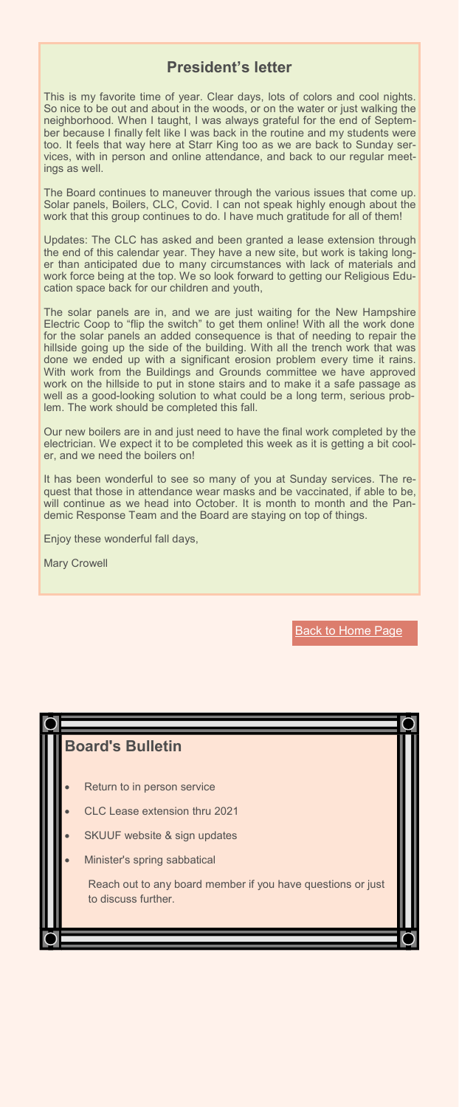# **President's letter**

This is my favorite time of year. Clear days, lots of colors and cool nights. So nice to be out and about in the woods, or on the water or just walking the neighborhood. When I taught, I was always grateful for the end of September because I finally felt like I was back in the routine and my students were too. It feels that way here at Starr King too as we are back to Sunday services, with in person and online attendance, and back to our regular meetings as well.

The Board continues to maneuver through the various issues that come up. Solar panels, Boilers, CLC, Covid. I can not speak highly enough about the work that this group continues to do. I have much gratitude for all of them!

Updates: The CLC has asked and been granted a lease extension through the end of this calendar year. They have a new site, but work is taking longer than anticipated due to many circumstances with lack of materials and work force being at the top. We so look forward to getting our Religious Education space back for our children and youth,

The solar panels are in, and we are just waiting for the New Hampshire Electric Coop to "flip the switch" to get them online! With all the work done for the solar panels an added consequence is that of needing to repair the hillside going up the side of the building. With all the trench work that was done we ended up with a significant erosion problem every time it rains. With work from the Buildings and Grounds committee we have approved work on the hillside to put in stone stairs and to make it a safe passage as well as a good-looking solution to what could be a long term, serious problem. The work should be completed this fall.

<span id="page-3-0"></span>Our new boilers are in and just need to have the final work completed by the electrician. We expect it to be completed this week as it is getting a bit cooler, and we need the boilers on!

It has been wonderful to see so many of you at Sunday services. The request that those in attendance wear masks and be vaccinated, if able to be, will continue as we head into October. It is month to month and the Pandemic Response Team and the Board are staying on top of things.

Enjoy these wonderful fall days,

Mary Crowell

**[Back to Home Page](#page-0-0)** 

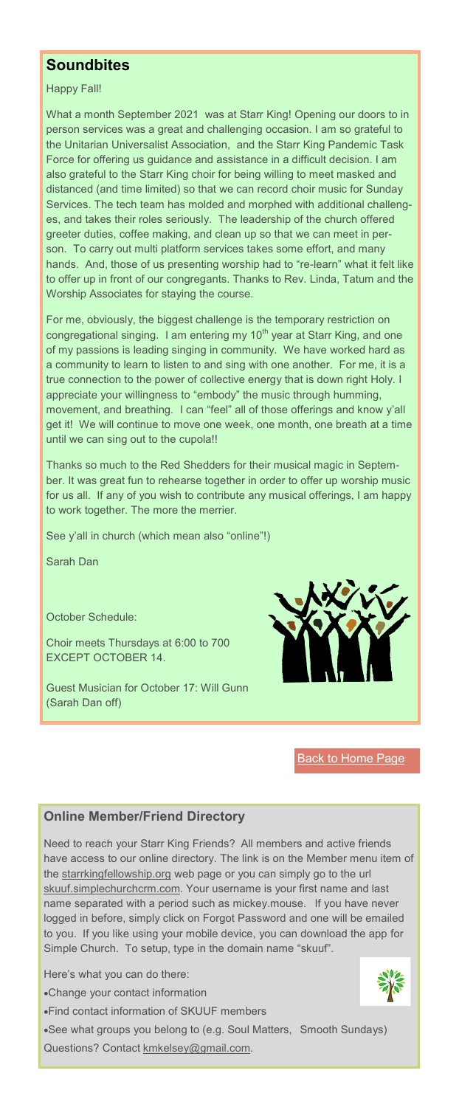# **Soundbites**

Happy Fall!

What a month September 2021 was at Starr King! Opening our doors to in person services was a great and challenging occasion. I am so grateful to the Unitarian Universalist Association, and the Starr King Pandemic Task Force for offering us guidance and assistance in a difficult decision. I am also grateful to the Starr King choir for being willing to meet masked and distanced (and time limited) so that we can record choir music for Sunday Services. The tech team has molded and morphed with additional challenges, and takes their roles seriously. The leadership of the church offered greeter duties, coffee making, and clean up so that we can meet in person. To carry out multi platform services takes some effort, and many hands. And, those of us presenting worship had to "re-learn" what it felt like to offer up in front of our congregants. Thanks to Rev. Linda, Tatum and the Worship Associates for staying the course.

For me, obviously, the biggest challenge is the temporary restriction on congregational singing. I am entering my 10<sup>th</sup> year at Starr King, and one of my passions is leading singing in community. We have worked hard as a community to learn to listen to and sing with one another. For me, it is a true connection to the power of collective energy that is down right Holy. I appreciate your willingness to "embody" the music through humming, movement, and breathing. I can "feel" all of those offerings and know y'all get it! We will continue to move one week, one month, one breath at a time until we can sing out to the cupola!!

<span id="page-4-0"></span>Thanks so much to the Red Shedders for their musical magic in September. It was great fun to rehearse together in order to offer up worship music for us all. If any of you wish to contribute any musical offerings, I am happy to work together. The more the merrier.

See y'all in church (which mean also "online"!)

Sarah Dan

October Schedule:

Choir meets Thursdays at 6:00 to 700 EXCEPT OCTOBER 14.

Guest Musician for October 17: Will Gunn (Sarah Dan off)



[Back to Home Page](#page-0-0)

## **Online Member/Friend Directory**

Need to reach your Starr King Friends? All members and active friends have access to our online directory. The link is on the Member menu item of the [starrkingfellowship.org](https://www.starrkingfellowship.org/member-links) web page or you can simply go to the url [skuuf.simplechurchcrm.com.](http://skuuf.simplechurchcrm.com) Your username is your first name and last name separated with a period such as mickey.mouse. If you have never logged in before, simply click on Forgot Password and one will be emailed to you. If you like using your mobile device, you can download the app for Simple Church. To setup, type in the domain name "skuuf".

Here's what you can do there:

•Change your contact information

•Find contact information of SKUUF members

•See what groups you belong to (e.g. Soul Matters, Smooth Sundays) Questions? Contact [kmkelsey@gmail.com.](mailto:kmkelsey@gmail.com)

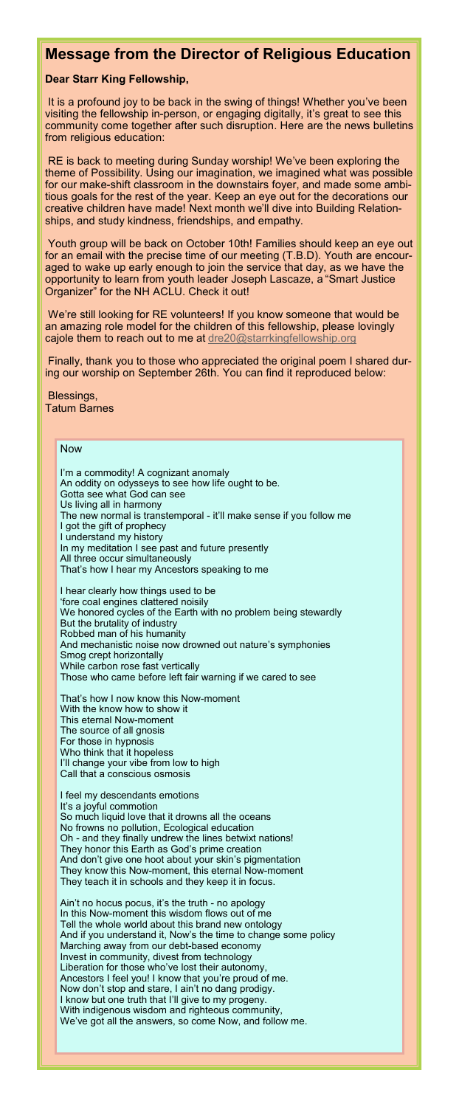## **Message from the Director of Religious Education**

### **Dear Starr King Fellowship,**

It is a profound joy to be back in the swing of things! Whether you've been visiting the fellowship in-person, or engaging digitally, it's great to see this community come together after such disruption. Here are the news bulletins from religious education:

RE is back to meeting during Sunday worship! We've been exploring the theme of Possibility. Using our imagination, we imagined what was possible for our make-shift classroom in the downstairs foyer, and made some ambitious goals for the rest of the year. Keep an eye out for the decorations our creative children have made! Next month we'll dive into Building Relationships, and study kindness, friendships, and empathy.

Youth group will be back on October 10th! Families should keep an eye out for an email with the precise time of our meeting (T.B.D). Youth are encouraged to wake up early enough to join the service that day, as we have the opportunity to learn from youth leader Joseph Lascaze, a "Smart Justice Organizer" for the NH ACLU. Check it out!

We're still looking for RE volunteers! If you know someone that would be an amazing role model for the children of this fellowship, please lovingly cajole them to reach out to me at [dre20@starrkingfellowship.org](mailto:dre20@starrkingfellowship.org)

Finally, thank you to those who appreciated the original poem I shared during our worship on September 26th. You can find it reproduced below:

#### Blessings, Tatum Barnes

I'm a commodity! A cognizant anomaly

Gotta see what God can see

An oddity on odysseys to see how life ought to be.

#### <span id="page-5-0"></span>Now

Us living all in harmony The new normal is transtemporal - it'll make sense if you follow me I got the gift of prophecy I understand my history In my meditation I see past and future presently All three occur simultaneously That's how I hear my Ancestors speaking to me I hear clearly how things used to be 'fore coal engines clattered noisily We honored cycles of the Earth with no problem being stewardly But the brutality of industry Robbed man of his humanity And mechanistic noise now drowned out nature's symphonies Smog crept horizontally While carbon rose fast vertically Those who came before left fair warning if we cared to see That's how I now know this Now-moment With the know how to show it This eternal Now-moment The source of all gnosis For those in hypnosis Who think that it hopeless I'll change your vibe from low to high Call that a conscious osmosis I feel my descendants emotions It's a joyful commotion So much liquid love that it drowns all the oceans No frowns no pollution, Ecological education Oh - and they finally undrew the lines betwixt nations! They honor this Earth as God's prime creation And don't give one hoot about your skin's pigmentation They know this Now-moment, this eternal Now-moment They teach it in schools and they keep it in focus. Ain't no hocus pocus, it's the truth - no apology In this Now-moment this wisdom flows out of me Tell the whole world about this brand new ontology And if you understand it, Now's the time to change some policy Marching away from our debt-based economy Invest in community, divest from technology Liberation for those who've lost their autonomy, Ancestors I feel you! I know that you're proud of me. Now don't stop and stare, I ain't no dang prodigy. I know but one truth that I'll give to my progeny. With indigenous wisdom and righteous community, We've got all the answers, so come Now, and follow me.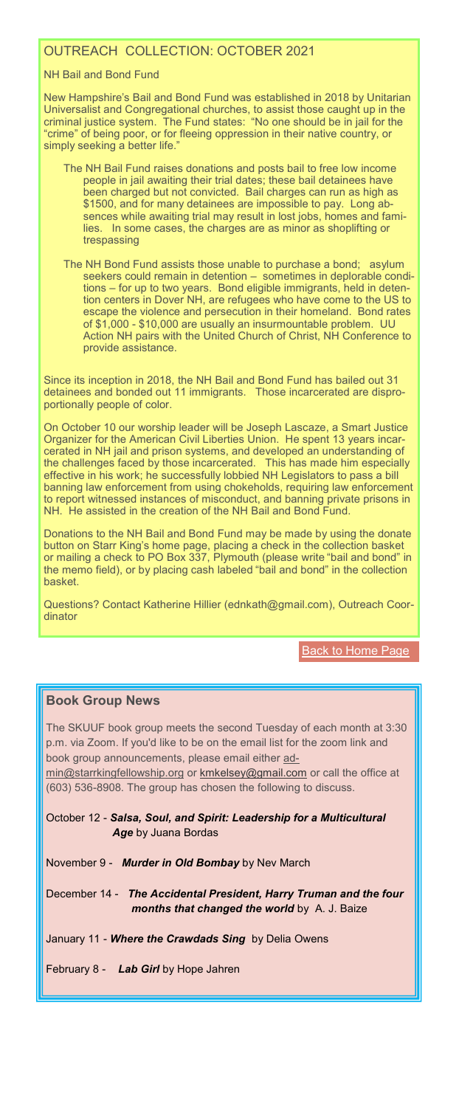# OUTREACH COLLECTION: OCTOBER 2021

### NH Bail and Bond Fund

New Hampshire's Bail and Bond Fund was established in 2018 by Unitarian Universalist and Congregational churches, to assist those caught up in the criminal justice system. The Fund states: "No one should be in jail for the "crime" of being poor, or for fleeing oppression in their native country, or simply seeking a better life."

- The NH Bail Fund raises donations and posts bail to free low income people in jail awaiting their trial dates; these bail detainees have been charged but not convicted. Bail charges can run as high as \$1500, and for many detainees are impossible to pay. Long absences while awaiting trial may result in lost jobs, homes and families. In some cases, the charges are as minor as shoplifting or trespassing
- The NH Bond Fund assists those unable to purchase a bond; asylum seekers could remain in detention – sometimes in deplorable conditions – for up to two years. Bond eligible immigrants, held in detention centers in Dover NH, are refugees who have come to the US to escape the violence and persecution in their homeland. Bond rates of \$1,000 - \$10,000 are usually an insurmountable problem. UU Action NH pairs with the United Church of Christ, NH Conference to provide assistance.

Since its inception in 2018, the NH Bail and Bond Fund has bailed out 31 detainees and bonded out 11 immigrants. Those incarcerated are disproportionally people of color.

<span id="page-6-0"></span>On October 10 our worship leader will be Joseph Lascaze, a Smart Justice Organizer for the American Civil Liberties Union. He spent 13 years incarcerated in NH jail and prison systems, and developed an understanding of the challenges faced by those incarcerated. effective in his work; he successfully lobbied NH Legislators to pass a bill banning law enforcement from using chokeholds, requiring law enforcement to report witnessed instances of misconduct, and banning private prisons in NH. He assisted in the creation of the NH Bail and Bond Fund.

Donations to the NH Bail and Bond Fund may be made by using the donate button on Starr King's home page, placing a check in the collection basket or mailing a check to PO Box 337, Plymouth (please write "bail and bond" in the memo field), or by placing cash labeled "bail and bond" in the collection basket.

Questions? Contact Katherine Hillier (ednkath@gmail.com), Outreach Coordinator

**[Back to Home Page](#page-0-0)** 

### **Book Group News**

The SKUUF book group meets the second Tuesday of each month at 3:30 p.m. via Zoom. If you'd like to be on the email list for the zoom link and book group announcements, please email either [ad-](mailto:admin@starrkingfellowship.org)

[min@starrkingfellowship.org](mailto:admin@starrkingfellowship.org) or [kmkelsey@gmail.com](mailto:kmkelsey@gmail.com) or call the office at (603) 536-8908. The group has chosen the following to discuss.

October 12 - *[Salsa, Soul, and Spirit: Leadership for a Multicultural](https://www.amazon.com/Salsa-Soul-Spirit-Leadership-Multicultural/dp/1609941179/ref=sr_1_1?dchild=1&keywords=Salsa%2C+Soul%2C+and+Spirit%3A+Leadership+for+a+Multicultural+Age&qid=1605188053&s=books&sr=1-1)  Age* [by Juana Bordas](https://www.amazon.com/Salsa-Soul-Spirit-Leadership-Multicultural/dp/1609941179/ref=sr_1_1?dchild=1&keywords=Salsa%2C+Soul%2C+and+Spirit%3A+Leadership+for+a+Multicultural+Age&qid=1605188053&s=books&sr=1-1)

November 9 - *[Murder in Old Bombay](https://www.amazon.com/Murder-Old-Bombay-Mystery/dp/B08776WJ9H/ref=sr_1_1?crid=W5NUASNNLED0&dchild=1&keywords=murder+in+old+bombay&qid=1623186619&s=audible&sprefix=murder+in+old%2Caudible%2C197&sr=1-1)* by Nev March

December 14 - *[The Accidental President, Harry Truman and the four](https://www.amazon.com/Accidental-President-Truman-Months-Changed/dp/1328505685/ref=sr_1_1?dchild=1&keywords=accidental+president&qid=1624891154&sr=8-1)  [months that changed the world](https://www.amazon.com/Accidental-President-Truman-Months-Changed/dp/1328505685/ref=sr_1_1?dchild=1&keywords=accidental+president&qid=1624891154&sr=8-1)* by A. J. Baize

January 11 - *[Where the Crawdads Sing](https://www.amazon.com/Where-Crawdads-Sing-Delia-Owens-audiobook/dp/B07FSXPMHY/ref=sr_1_1?crid=19EHREMZ6RUIT&dchild=1&keywords=where+the+crawdads+sing&qid=1629463547&s=audible&sprefix=where%2Caudible%2C208&sr=1-1)* by Delia Owens

February 8 - *Lab Girl* [by Hope Jahren](https://www.amazon.com/Lab-Girl-Hope-Jahren/dp/1101873728/ref=sr_1_1?dchild=1&keywords=Lab+Girl+by+Hope+Jahren&qid=1625097710&sr=8-1)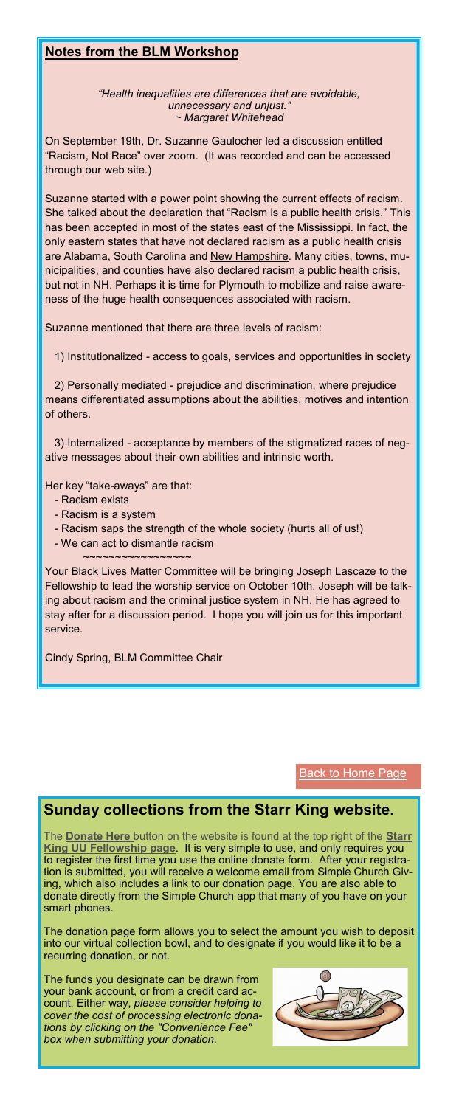## **Notes from the BLM Workshop**

*"Health inequalities are differences that are avoidable, unnecessary and unjust." ~ Margaret Whitehead*

On September 19th, Dr. Suzanne Gaulocher led a discussion entitled "Racism, Not Race" over zoom. (It was recorded and can be accessed through our web site.)

Suzanne started with a power point showing the current effects of racism. She talked about the declaration that "Racism is a public health crisis." This has been accepted in most of the states east of the Mississippi. In fact, the only eastern states that have not declared racism as a public health crisis are Alabama, South Carolina and New Hampshire. Many cities, towns, municipalities, and counties have also declared racism a public health crisis, but not in NH. Perhaps it is time for Plymouth to mobilize and raise awareness of the huge health consequences associated with racism.

Suzanne mentioned that there are three levels of racism:

1) Institutionalized - access to goals, services and opportunities in society

2) Personally mediated - prejudice and discrimination, where prejudice means differentiated assumptions about the abilities, motives and intention of others.

<span id="page-7-0"></span>3) Internalized - acceptance by members of the stigmatized races of negative messages about their own abilities and intrinsic worth.

Her key "take-aways" are that:

- Racism exists
- Racism is a system
- Racism saps the strength of the whole society (hurts all of us!)
- We can act to dismantle racism
	- ~~~~~~~~~~~~~~~~~

Your Black Lives Matter Committee will be bringing Joseph Lascaze to the Fellowship to lead the worship service on October 10th. Joseph will be talking about racism and the criminal justice system in NH. He has agreed to stay after for a discussion period. I hope you will join us for this important service.

Cindy Spring, BLM Committee Chair

**[Back to Home Page](#page-0-0)** 

# **Sunday collections from the Starr King website.**

The **[Donate Here](https://www.starrkingfellowship.org/donations)** button on the website is found at the top right of the **[Starr](https://www.starrkingfellowship.org)  [King UU Fellowship page](https://www.starrkingfellowship.org)**. It is very simple to use, and only requires you to register the first time you use the online donate form. After your registration is submitted, you will receive a welcome email from Simple Church Giving, which also includes a link to our donation page. You are also able to donate directly from the Simple Church app that many of you have on your smart phones.

The donation page form allows you to select the amount you wish to deposit into our virtual collection bowl, and to designate if you would like it to be a recurring donation, or not.

The funds you designate can be drawn from your bank account, or from a credit card account. Either way, *please consider helping to cover the cost of processing electronic donations by clicking on the "Convenience Fee" box when submitting your donation.*

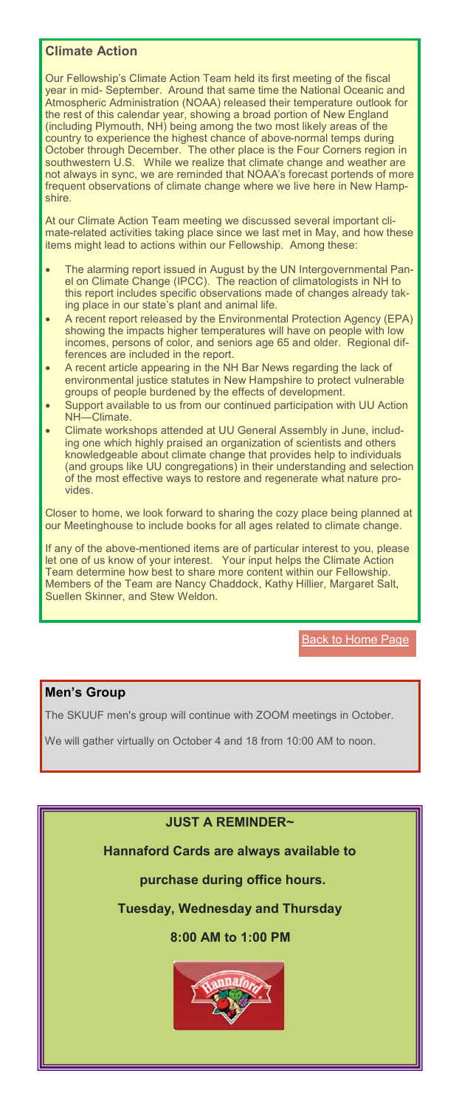# **Climate Action**

Our Fellowship's Climate Action Team held its first meeting of the fiscal year in mid- September. Around that same time the National Oceanic and Atmospheric Administration (NOAA) released their temperature outlook for the rest of this calendar year, showing a broad portion of New England (including Plymouth, NH) being among the two most likely areas of the country to experience the highest chance of above-normal temps during October through December. The other place is the Four Corners region in southwestern U.S. While we realize that climate change and weather are not always in sync, we are reminded that NOAA's forecast portends of more frequent observations of climate change where we live here in New Hampshire.

At our Climate Action Team meeting we discussed several important climate-related activities taking place since we last met in May, and how these items might lead to actions within our Fellowship. Among these:

- The alarming report issued in August by the UN Intergovernmental Panel on Climate Change (IPCC). The reaction of climatologists in NH to this report includes specific observations made of changes already taking place in our state's plant and animal life.
- A recent report released by the Environmental Protection Agency (EPA) showing the impacts higher temperatures will have on people with low incomes, persons of color, and seniors age 65 and older. Regional differences are included in the report.
- A recent article appearing in the NH Bar News regarding the lack of environmental justice statutes in New Hampshire to protect vulnerable groups of people burdened by the effects of development.
- Support available to us from our continued participation with UU Action NH-Climate.
- <span id="page-8-0"></span>ing one which highly praised an organization of scientists and others • Climate workshops attended at UU General Assembly in June, includknowledgeable about climate change that provides help to individuals (and groups like UU congregations) in their understanding and selection of the most effective ways to restore and regenerate what nature provides.

Closer to home, we look forward to sharing the cozy place being planned at our Meetinghouse to include books for all ages related to climate change.

If any of the above-mentioned items are of particular interest to you, please let one of us know of your interest. Your input helps the Climate Action Team determine how best to share more content within our Fellowship. Members of the Team are Nancy Chaddock, Kathy Hillier, Margaret Salt, Suellen Skinner, and Stew Weldon.

**[Back to Home Page](#page-0-0)** 

# **Men's Group**

The SKUUF men's group will continue with ZOOM meetings in October.

We will gather virtually on October 4 and 18 from 10:00 AM to noon.

## **JUST A REMINDER~**

**Hannaford Cards are always available to** 

# **purchase during office hours.**

**Tuesday, Wednesday and Thursday**

## **8:00 AM to 1:00 PM**

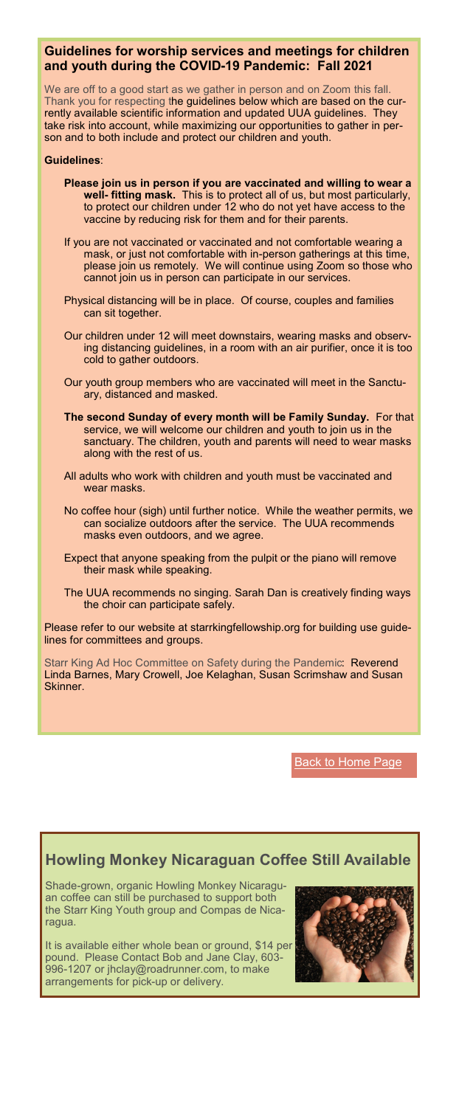## **Guidelines for worship services and meetings for children and youth during the COVID-19 Pandemic: Fall 2021**

We are off to a good start as we gather in person and on Zoom this fall. Thank you for respecting the guidelines below which are based on the currently available scientific information and updated UUA guidelines. They take risk into account, while maximizing our opportunities to gather in person and to both include and protect our children and youth.

#### **Guidelines**:

- **Please join us in person if you are vaccinated and willing to wear a well- fitting mask.** This is to protect all of us, but most particularly, to protect our children under 12 who do not yet have access to the vaccine by reducing risk for them and for their parents.
- If you are not vaccinated or vaccinated and not comfortable wearing a mask, or just not comfortable with in-person gatherings at this time, please join us remotely. We will continue using Zoom so those who cannot join us in person can participate in our services.
- Physical distancing will be in place. Of course, couples and families can sit together.
- Our children under 12 will meet downstairs, wearing masks and observing distancing guidelines, in a room with an air purifier, once it is too cold to gather outdoors.
- Our youth group members who are vaccinated will meet in the Sanctuary, distanced and masked.
- <span id="page-9-0"></span>**The second Sunday of every month will be Family Sunday.** For that service, we will welcome our children and youth to join us in the sanctuary. The children, youth and parents will need to wear masks along with the rest of us.
- All adults who work with children and youth must be vaccinated and wear masks.
- No coffee hour (sigh) until further notice. While the weather permits, we can socialize outdoors after the service. The UUA recommends masks even outdoors, and we agree.
- Expect that anyone speaking from the pulpit or the piano will remove their mask while speaking.
- The UUA recommends no singing. Sarah Dan is creatively finding ways the choir can participate safely.

Please refer to our website at starrkingfellowship.org for building use guidelines for committees and groups.

Starr King Ad Hoc Committee on Safety during the Pandemic: Reverend Linda Barnes, Mary Crowell, Joe Kelaghan, Susan Scrimshaw and Susan **Skinner** 

**[Back to Home Page](#page-0-0)** 

# **Howling Monkey Nicaraguan Coffee Still Available**

Shade-grown, organic Howling Monkey Nicaraguan coffee can still be purchased to support both the Starr King Youth group and Compas de Nicaragua.

It is available either whole bean or ground, \$14 per pound. Please Contact Bob and Jane Clay, 603- 996-1207 or jhclay@roadrunner.com, to make arrangements for pick-up or delivery.